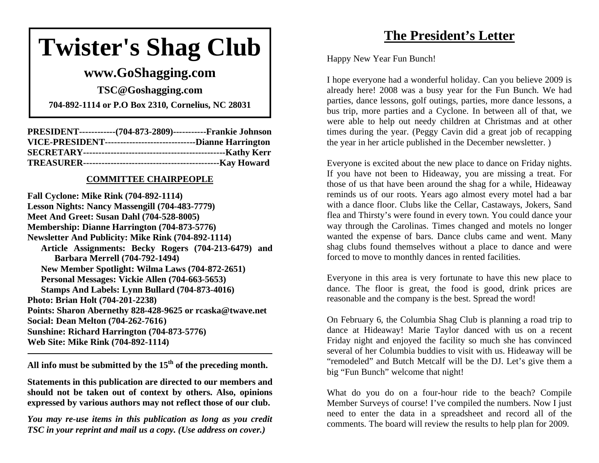# **Twister's Shag Club**

## **www.GoShagging.com**

**TSC@Goshagging.com** 

**704-892-1114 or P.O Box 2310, Cornelius, NC 28031** 

| PRESIDENT-------------(704-873-2809)------------Frankie Johnson |  |
|-----------------------------------------------------------------|--|
|                                                                 |  |
|                                                                 |  |
|                                                                 |  |

#### **COMMITTEE CHAIRPEOPLE**

**Fall Cyclone: Mike Rink (704-892-1114) Lesson Nights: Nancy Massengill (704-483-7779) Meet And Greet: Susan Dahl (704-528-8005) Membership: Dianne Harrington (704-873-5776) Newsletter And Publicity: Mike Rink (704-892-1114) Article Assignments: Becky Rogers (704-213-6479) and Barbara Merrell (704-792-1494) New Member Spotlight: Wilma Laws (704-872-2651) Personal Messages: Vickie Allen (704-663-5653) Stamps And Labels: Lynn Bullard (704-873-4016) Photo: Brian Holt (704-201-2238) Points: Sharon Abernethy 828-428-9625 or rcaska@twave.net Social: Dean Melton (704-262-7616 ) Sunshine: Richard Harrington (704-873-5776) Web Site: Mike Rink (704-892-1114)** 

**All info must be submitted by the 15th of the preceding month.** 

**Statements in this publication are directed to our members and should not be taken out of context by others. Also, opinions expressed by various authors may not reflect those of our club.** 

*You may re-use items in this publication as long as you credit TSC in your reprint and mail us a copy. (Use address on cover.)* 

# **The President's Letter**

Happy New Year Fun Bunch!

I hope everyone had a wonderful holiday. Can you believe 2009 is already here! 2008 was a busy year for the Fun Bunch. We had parties, dance lessons, golf outings, parties, more dance lessons, a bus trip, more parties and a Cyclone. In between all of that, we were able to help out needy children at Christmas and at other times during the year. (Peggy Cavin did a great job of recapping the year in her article published in the December newsletter. )

Everyone is excited about the new place to dance on Friday nights. If you have not been to Hideaway, you are missing a treat. For those of us that have been around the shag for a while, Hideaway reminds us of our roots. Years ago almost every motel had a bar with a dance floor. Clubs like the Cellar, Castaways, Jokers, Sand flea and Thirsty's were found in every town. You could dance your way through the Carolinas. Times changed and motels no longer wanted the expense of bars. Dance clubs came and went. Many shag clubs found themselves without a place to dance and were forced to move to monthly dances in rented facilities.

Everyone in this area is very fortunate to have this new place to dance. The floor is great, the food is good, drink prices are reasonable and the company is the best. Spread the word!

On February 6, the Columbia Shag Club is planning a road trip to dance at Hideaway! Marie Taylor danced with us on a recent Friday night and enjoyed the facility so much she has convinced several of her Columbia buddies to visit with us. Hideaway will be "remodeled" and Butch Metcalf will be the DJ. Let's give them a big "Fun Bunch" welcome that night!

What do you do on a four-hour ride to the beach? Compile Member Surveys of course! I've compiled the numbers. Now I just need to enter the data in a spreadsheet and record all of the comments. The board will review the results to help plan for 2009.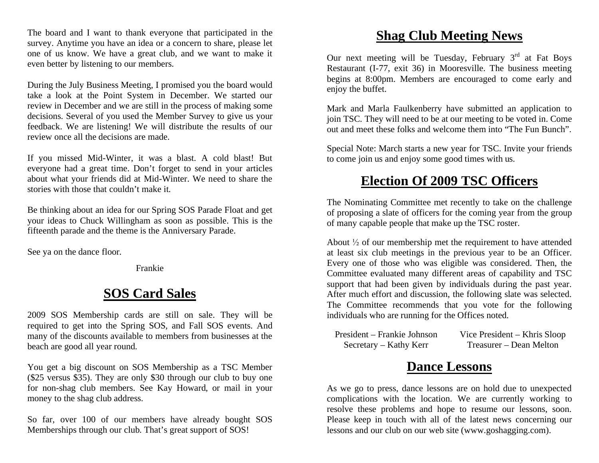The board and I want to thank everyone that participated in the survey. Anytime you have an idea or a concern to share, please let one of us know. We have a great club, and we want to make it even better by listening to our members.

During the July Business Meeting, I promised you the board would take a look at the Point System in December. We started our review in December and we are still in the process of making some decisions. Several of you used the Member Survey to give us your feedback. We are listening! We will distribute the results of our review once all the decisions are made.

If you missed Mid-Winter, it was a blast. A cold blast! But everyone had a great time. Don't forget to send in your articles about what your friends did at Mid-Winter. We need to share the stories with those that couldn't make it.

Be thinking about an idea for our Spring SOS Parade Float and get your ideas to Chuck Willingham as soon as possible. This is the fifteenth parade and the theme is the Anniversary Parade.

See ya on the dance floor.

Frankie

# **SOS Card Sales**

2009 SOS Membership cards are still on sale. They will be required to get into the Spring SOS, and Fall SOS events. And many of the discounts available to members from businesses at the beach are good all year round.

You get a big discount on SOS Membership as a TSC Member (\$25 versus \$35). They are only \$30 through our club to buy one for non-shag club members. See Kay Howard, or mail in your money to the shag club address.

So far, over 100 of our members have already bought SOS Memberships through our club. That's great support of SOS!

## **Shag Club Meeting News**

Our next meeting will be Tuesday, February  $3<sup>rd</sup>$  at Fat Boys Restaurant (I-77, exit 36) in Mooresville. The business meeting begins at 8:00pm. Members are encouraged to come early and enjoy the buffet.

Mark and Marla Faulkenberry have submitted an application to join TSC. They will need to be at our meeting to be voted in. Come out and meet these folks and welcome them into "The Fun Bunch".

Special Note: March starts a new year for TSC. Invite your friends to come join us and enjoy some good times with us.

# **Election Of 2009 TSC Officers**

The Nominating Committee met recently to take on the challenge of proposing a slate of officers for the coming year from the group of many capable people that make up the TSC roster.

About  $\frac{1}{2}$  of our membership met the requirement to have attended at least six club meetings in the previous year to be an Officer. Every one of those who was eligible was considered. Then, the Committee evaluated many different areas of capability and TSC support that had been given by individuals during the past year. After much effort and discussion, the following slate was selected. The Committee recommends that you vote for the following individuals who are running for the Offices noted.

| President – Frankie Johnson | Vice President – Khris Sloop |
|-----------------------------|------------------------------|
| Secretary – Kathy Kerr      | Treasurer – Dean Melton      |

## **Dance Lessons**

As we go to press, dance lessons are on hold due to unexpected complications with the location. We are currently working to resolve these problems and hope to resume our lessons, soon. Please keep in touch with all of the latest news concerning our lessons and our club on our web site (www.goshagging.com).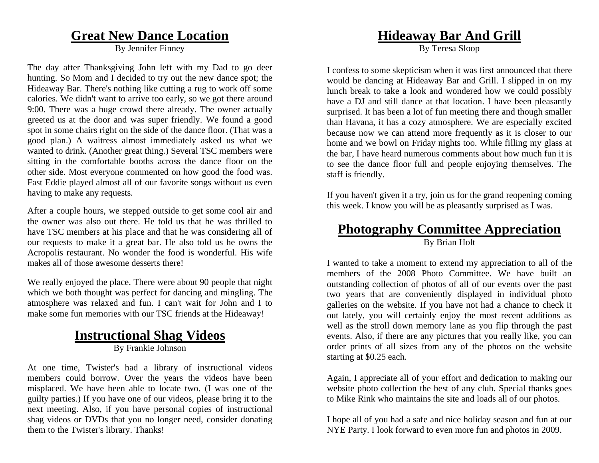## **Great New Dance Location**

By Jennifer Finney

The day after Thanksgiving John left with my Dad to go deer hunting. So Mom and I decided to try out the new dance spot; the Hideaway Bar. There's nothing like cutting a rug to work off some calories. We didn't want to arrive too early, so we got there around 9:00. There was a huge crowd there already. The owner actually greeted us at the door and was super friendly. We found a good spot in some chairs right on the side of the dance floor. (That was a good plan.) A waitress almost immediately asked us what we wanted to drink. (Another great thing.) Several TSC members were sitting in the comfortable booths across the dance floor on the other side. Most everyone commented on how good the food was. Fast Eddie played almost all of our favorite songs without us even having to make any requests.

After a couple hours, we stepped outside to get some cool air and the owner was also out there. He told us that he was thrilled to have TSC members at his place and that he was considering all of our requests to make it a great bar. He also told us he owns the Acropolis restaurant. No wonder the food is wonderful. His wife makes all of those awesome desserts there!

We really enjoyed the place. There were about 90 people that night which we both thought was perfect for dancing and mingling. The atmosphere was relaxed and fun. I can't wait for John and I to make some fun memories with our TSC friends at the Hideaway!

### **Instructional Shag Videos** By Frankie Johnson

At one time, Twister's had a library of instructional videos members could borrow. Over the years the videos have been misplaced. We have been able to locate two. (I was one of the guilty parties.) If you have one of our videos, please bring it to the next meeting. Also, if you have personal copies of instructional shag videos or DVDs that you no longer need, consider donating them to the Twister's library. Thanks!

## **Hideaway Bar And Grill**

By Teresa Sloop

I confess to some skepticism when it was first announced that there would be dancing at Hideaway Bar and Grill. I slipped in on my lunch break to take a look and wondered how we could possibly have a DJ and still dance at that location. I have been pleasantly surprised. It has been a lot of fun meeting there and though smaller than Havana, it has a cozy atmosphere. We are especially excited because now we can attend more frequently as it is closer to our home and we bowl on Friday nights too. While filling my glass at the bar, I have heard numerous comments about how much fun it is to see the dance floor full and people enjoying themselves. The staff is friendly.

If you haven't given it a try, join us for the grand reopening coming this week. I know you will be as pleasantly surprised as I was.

### **Photography Committee Appreciation** By Brian Holt

I wanted to take a moment to extend my appreciation to all of the members of the 2008 Photo Committee. We have built an outstanding collection of photos of all of our events over the past two years that are conveniently displayed in individual photo galleries on the website. If you have not had a chance to check it out lately, you will certainly enjoy the most recent additions as well as the stroll down memory lane as you flip through the past events. Also, if there are any pictures that you really like, you can order prints of all sizes from any of the photos on the website starting at \$0.25 each.

Again, I appreciate all of your effort and dedication to making our website photo collection the best of any club. Special thanks goes to Mike Rink who maintains the site and loads all of our photos.

I hope all of you had a safe and nice holiday season and fun at our NYE Party. I look forward to even more fun and photos in 2009.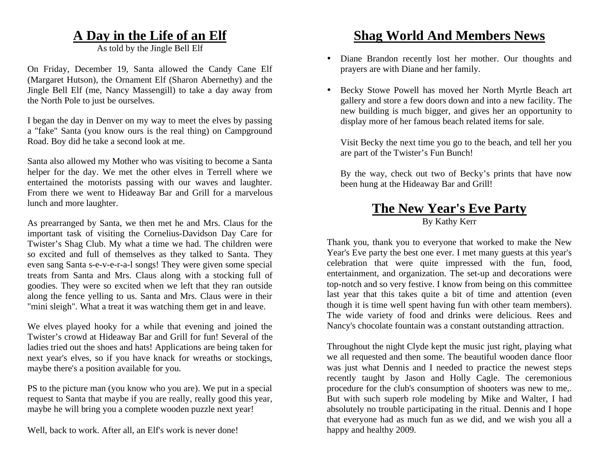# **A Day in the Life of an Elf**

As told by the Jingle Bell Elf

On Friday, December 19, Santa allowed the Candy Cane Elf (Margaret Hutson), the Ornament Elf (Sharon Abernethy) and the Jingle Bell Elf (me, Nancy Massengill) to take a day away from the North Pole to just be ourselves.

I began the day in Denver on my way to meet the elves by passing <sup>a</sup>"fake" Santa (you know ours is the real thing) on Campground Road. Boy did he take a second look at me.

Santa also allowed my Mother who was visiting to become a Santa helper for the day. We met the other elves in Terrell where we entertained the motorists passing with our waves and laughter. From there we went to Hideaway Bar and Grill for a marvelous lunch and more laughter.

As prearranged by Santa, we then met he and Mrs. Claus for the important task of visiting the Cornelius-Davidson Day Care for Twister's Shag Club. My what a time we had. The children were so excited and full of themselves as they talked to Santa. They even sang Santa s-e-v-e-r-a-l songs! They were given some special treats from Santa and Mrs. Claus along with a stocking full of goodies. They were so excited when we left that they ran outside along the fence yelling to us. Santa and Mrs. Claus were in their "mini sleigh". What a treat it was watching them get in and leave.

We elves played hooky for a while that evening and joined the Twister's crowd at Hideaway Bar and Grill for fun! Several of the ladies tried out the shoes and hats! Applications are being taken for next year's elves, so if you have knack for wreaths or stockings, maybe there's a position available for you.

PS to the picture man (you know who you are). We put in a special request to Santa that maybe if you are really, really good this year, maybe he will bring you a complete wooden puzzle next year!

Well, back to work. After all, an Elf's work is never done!

# **Shag World And Members News**

- Diane Brandon recently lost her mother. Our thoughts and prayers are with Diane and her family.
- • Becky Stowe Powell has moved her North Myrtle Beach art gallery and store a few doors down and into a new facility. The new building is much bigger, and gives her an opportunity to display more of her famous beach related items for sale.

Visit Becky the next time you go to the beach, and tell her you are part of the Twister's Fun Bunch!

By the way, check out two of Becky's prints that have now been hung at the Hideaway Bar and Grill!

### **The New Year's Eve Party** By Kathy Kerr

Thank you, thank you to everyone that worked to make the New Year's Eve party the best one ever. I met many guests at this year's celebration that were quite impressed with the fun, food, entertainment, and organization. The set-up and decorations were top-notch and so very festive. I know from being on this committee last year that this takes quite a bit of time and attention (even though it is time well spent having fun with other team members). The wide variety of food and drinks were delicious. Rees and Nancy's chocolate fountain was a constant outstanding attraction.

Throughout the night Clyde kept the music just right, playing what we all requested and then some. The beautiful wooden dance floor was just what Dennis and I needed to practice the newest steps recently taught by Jason and Holly Cagle. The ceremonious procedure for the club's consumption of shooters was new to me,. But with such superb role modeling by Mike and Walter, I had absolutely no trouble participating in the ritual. Dennis and I hope that everyone had as much fun as we did, and we wish you all a happy and healthy 2009.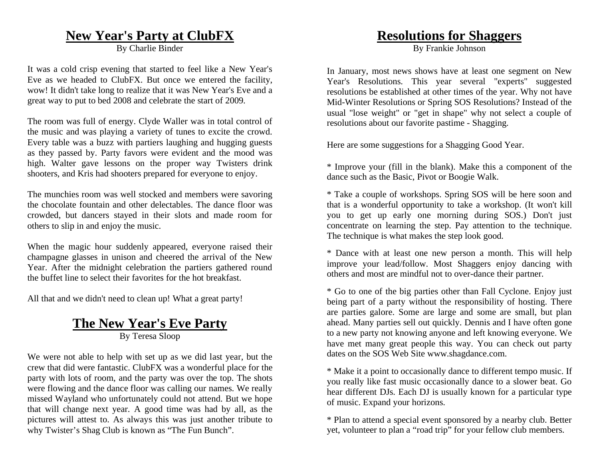## **New Year's Party at ClubFX**

By Charlie Binder

It was a cold crisp evening that started to feel like a New Year's Eve as we headed to ClubFX. But once we entered the facility, wow! It didn't take long to realize that it was New Year's Eve and a great way to put to bed 2008 and celebrate the start of 2009.

The room was full of energy. Clyde Waller was in total control of the music and was playing a variety of tunes to excite the crowd. Every table was a buzz with partiers laughing and hugging guests as they passed by. Party favors were evident and the mood was high. Walter gave lessons on the proper way Twisters drink shooters, and Kris had shooters prepared for everyone to enjoy.

The munchies room was well stocked and members were savoring the chocolate fountain and other delectables. The dance floor was crowded, but dancers stayed in their slots and made room for others to slip in and enjoy the music.

When the magic hour suddenly appeared, everyone raised their champagne glasses in unison and cheered the arrival of the New Year. After the midnight celebration the partiers gathered round the buffet line to select their favorites for the hot breakfast.

All that and we didn't need to clean up! What a great party!

### **The New Year's Eve Party** By Teresa Sloop

We were not able to help with set up as we did last year, but the crew that did were fantastic. ClubFX was a wonderful place for the party with lots of room, and the party was over the top. The shots were flowing and the dance floor was calling our names. We really missed Wayland who unfortunately could not attend. But we hope that will change next year. A good time was had by all, as the pictures will attest to. As always this was just another tribute to why Twister's Shag Club is known as "The Fun Bunch".

## **Resolutions for Shaggers**

By Frankie Johnson

In January, most news shows have at least one segment on New Year's Resolutions. This year several "experts" suggested resolutions be established at other times of the year. Why not have Mid-Winter Resolutions or Spring SOS Resolutions? Instead of the usual "lose weight" or "get in shape" why not select a couple of resolutions about our favorite pastime - Shagging.

Here are some suggestions for a Shagging Good Year.

\* Improve your (fill in the blank). Make this a component of the dance such as the Basic, Pivot or Boogie Walk.

\* Take a couple of workshops. Spring SOS will be here soon and that is a wonderful opportunity to take a workshop. (It won't kill you to get up early one morning during SOS.) Don't just concentrate on learning the step. Pay attention to the technique. The technique is what makes the step look good.

\* Dance with at least one new person a month. This will help improve your lead/follow. Most Shaggers enjoy dancing with others and most are mindful not to over-dance their partner.

\* Go to one of the big parties other than Fall Cyclone. Enjoy just being part of a party without the responsibility of hosting. There are parties galore. Some are large and some are small, but plan ahead. Many parties sell out quickly. Dennis and I have often gone to a new party not knowing anyone and left knowing everyone. We have met many great people this way. You can check out party dates on the SOS Web Site www.shagdance.com.

\* Make it a point to occasionally dance to different tempo music. If you really like fast music occasionally dance to a slower beat. Go hear different DJs. Each DJ is usually known for a particular type of music. Expand your horizons.

\* Plan to attend a special event sponsored by a nearby club. Better yet, volunteer to plan a "road trip" for your fellow club members.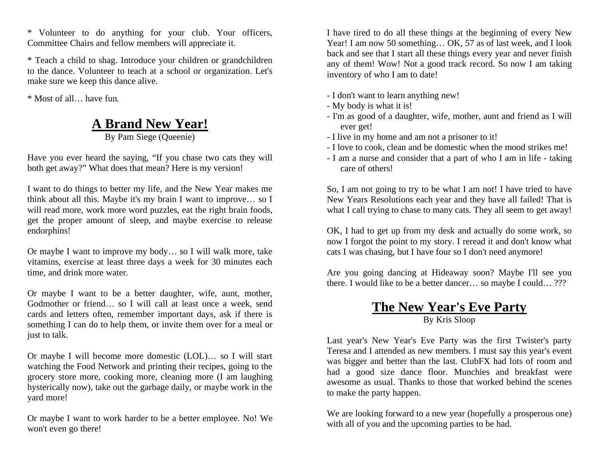\* Volunteer to do anything for your club. Your officers, Committee Chairs and fellow members will appreciate it.

\* Teach a child to shag. Introduce your children or grandchildren to the dance. Volunteer to teach at a school or organization. Let's make sure we keep this dance alive.

\* Most of all… have fun.

### **A Brand New Year!** By Pam Siege (Queenie)

Have you ever heard the saying, "If you chase two cats they will both get away?" What does that mean? Here is my version!

I want to do things to better my life, and the New Year makes me think about all this. Maybe it's my brain I want to improve… so I will read more, work more word puzzles, eat the right brain foods, get the proper amount of sleep, and maybe exercise to release endorphins!

Or maybe I want to improve my body… so I will walk more, take vitamins, exercise at least three days a week for 30 minutes each time, and drink more water.

Or maybe I want to be a better daughter, wife, aunt, mother, Godmother or friend… so I will call at least once a week, send cards and letters often, remember important days, ask if there is something I can do to help them, or invite them over for a meal or just to talk.

Or maybe I will become more domestic (LOL)… so I will start watching the Food Network and printing their recipes, going to the grocery store more, cooking more, cleaning more (I am laughing hysterically now), take out the garbage daily, or maybe work in the yard more!

Or maybe I want to work harder to be a better employee. No! We won't even go there!

I have tired to do all these things at the beginning of every New Year! I am now 50 something... OK, 57 as of last week, and I look back and see that I start all these things every year and never finish any of them! Wow! Not a good track record. So now I am taking inventory of who I am to date!

- I don't want to learn anything new!
- My body is what it is!
- I'm as good of a daughter, wife, mother, aunt and friend as I will ever get!
- I live in my home and am not a prisoner to it!
- I love to cook, clean and be domestic when the mood strikes me!
- I am a nurse and consider that a part of who I am in life taking care of others!

So, I am not going to try to be what I am not! I have tried to have New Years Resolutions each year and they have all failed! That is what I call trying to chase to many cats. They all seem to get away!

OK, I had to get up from my desk and actually do some work, so now I forgot the point to my story. I reread it and don't know what cats I was chasing, but I have four so I don't need anymore!

Are you going dancing at Hideaway soon? Maybe I'll see you there. I would like to be a better dancer… so maybe I could… ???

## **The New Year's Eve Party** By Kris Sloop

Last year's New Year's Eve Party was the first Twister's party Teresa and I attended as new members. I must say this year's event was bigger and better than the last. ClubFX had lots of room and had a good size dance floor. Munchies and breakfast were awesome as usual. Thanks to those that worked behind the scenes to make the party happen.

We are looking forward to a new year (hopefully a prosperous one) with all of you and the upcoming parties to be had.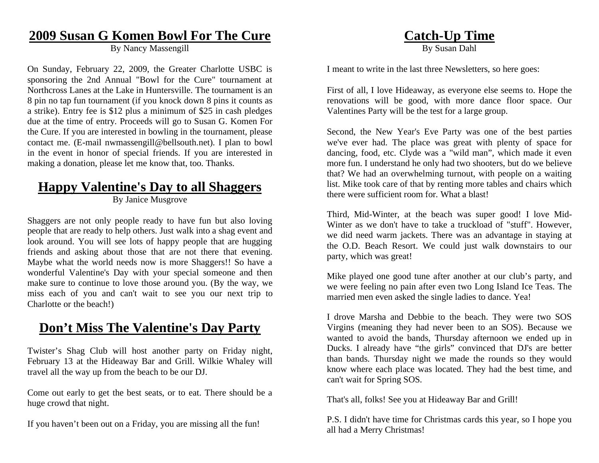## **2009 Susan G Komen Bowl For The Cure**

By Nancy Massengill

On Sunday, February 22, 2009, the Greater Charlotte USBC is sponsoring the 2nd Annual "Bowl for the Cure" tournament at Northcross Lanes at the Lake in Huntersville. The tournament is an 8 pin no tap fun tournament (if you knock down 8 pins it counts as a strike). Entry fee is \$12 plus a minimum of \$25 in cash pledges due at the time of entry. Proceeds will go to Susan G. Komen For the Cure. If you are interested in bowling in the tournament, please contact me. (E-mail nwmassengill@bellsouth.net). I plan to bowl in the event in honor of special friends. If you are interested in making a donation, please let me know that, too. Thanks.

# **Happy Valentine's Day to all Shaggers**

By Janice Musgrove

Shaggers are not only people ready to have fun but also loving people that are ready to help others. Just walk into a shag event and look around. You will see lots of happy people that are hugging friends and asking about those that are not there that evening. Maybe what the world needs now is more Shaggers!! So have a wonderful Valentine's Day with your special someone and then make sure to continue to love those around you. (By the way, we miss each of you and can't wait to see you our next trip to Charlotte or the beach!)

# **Don't Miss The Valentine's Day Party**

Twister's Shag Club will host another party on Friday night, February 13 at the Hideaway Bar and Grill. Wilkie Whaley will travel all the way up from the beach to be our DJ.

Come out early to get the best seats, or to eat. There should be a huge crowd that night.

If you haven't been out on a Friday, you are missing all the fun!

# **Catch-Up Time**

By Susan Dahl

I meant to write in the last three Newsletters, so here goes:

First of all, I love Hideaway, as everyone else seems to. Hope the renovations will be good, with more dance floor space. Our Valentines Party will be the test for a large group.

Second, the New Year's Eve Party was one of the best parties we've ever had. The place was great with plenty of space for dancing, food, etc. Clyde was a "wild man", which made it even more fun. I understand he only had two shooters, but do we believe that? We had an overwhelming turnout, with people on a waiting list. Mike took care of that by renting more tables and chairs which there were sufficient room for. What a blast!

Third, Mid-Winter, at the beach was super good! I love Mid-Winter as we don't have to take a truckload of "stuff". However, we did need warm jackets. There was an advantage in staying at the O.D. Beach Resort. We could just walk downstairs to our party, which was great!

Mike played one good tune after another at our club's party, and we were feeling no pain after even two Long Island Ice Teas. The married men even asked the single ladies to dance. Yea!

I drove Marsha and Debbie to the beach. They were two SOS Virgins (meaning they had never been to an SOS). Because we wanted to avoid the bands, Thursday afternoon we ended up in Ducks. I already have "the girls" convinced that DJ's are better than bands. Thursday night we made the rounds so they would know where each place was located. They had the best time, and can't wait for Spring SOS.

That's all, folks! See you at Hideaway Bar and Grill!

P.S. I didn't have time for Christmas cards this year, so I hope you all had a Merry Christmas!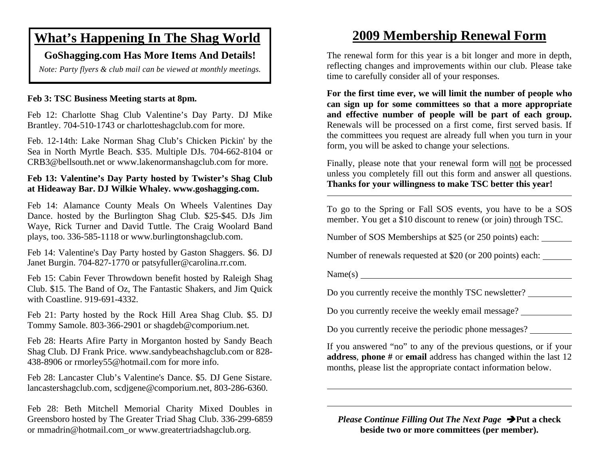# **What's Happening In The Shag World**

### **GoShagging.com Has More Items And Details!**

*Note: Party flyers & club mail can be viewed at monthly meetings.* 

#### **Feb 3: TSC Business Meeting starts at 8pm.**

Feb 12: Charlotte Shag Club Valentine's Day Party. DJ Mike Brantley. 704-510-1743 or charlotteshagclub.com for more.

Feb. 12-14th: Lake Norman Shag Club's Chicken Pickin' by the Sea in North Myrtle Beach. \$35. Multiple DJs. 704-662-8104 or CRB3@bellsouth.net or www.lakenormanshagclub.com for more.

### **Feb 13: Valentine's Day Party hosted by Twister's Shag Club at Hideaway Bar. DJ Wilkie Whaley. www.goshagging.com.**

Feb 14: Alamance County Meals On Wheels Valentines Day Dance. hosted by the Burlington Shag Club. \$25-\$45. DJs Jim Waye, Rick Turner and David Tuttle. The Craig Woolard Band plays, too. 336-585-1118 or www.burlingtonshagclub.com.

Feb 14: Valentine's Day Party hosted by Gaston Shaggers. \$6. DJ Janet Burgin. 704-827-1770 or patsyfuller@carolina.rr.com.

Feb 15: Cabin Fever Throwdown benefit hosted by Raleigh Shag Club. \$15. The Band of Oz, The Fantastic Shakers, and Jim Quick with Coastline. 919-691-4332.

Feb 21: Party hosted by the Rock Hill Area Shag Club. \$5. DJ Tommy Samole. 803-366-2901 or shagdeb@comporium.net.

Feb 28: Hearts Afire Party in Morganton hosted by Sandy Beach Shag Club. DJ Frank Price. www.sandybeachshagclub.com or 828- 438-8906 or rmorley55@hotmail.com for more info.

Feb 28: Lancaster Club's Valentine's Dance. \$5. DJ Gene Sistare. lancastershagclub.com, scdjgene@comporium.net, 803-286-6360.

Feb 28: Beth Mitchell Memorial Charity Mixed Doubles in Greensboro hosted by The Greater Triad Shag Club. 336-299-6859 or mmadrin@hotmail.com\_or www.greatertriadshagclub.org.

# **2009 Membership Renewal Form**

The renewal form for this year is a bit longer and more in depth, reflecting changes and improvements within our club. Please take time to carefully consider all of your responses.

**For the first time ever, we will limit the number of people who can sign up for some committees so that a more appropriate and effective number of people will be part of each group.**  Renewals will be processed on a first come, first served basis. If the committees you request are already full when you turn in your form, you will be asked to change your selections.

Finally, please note that your renewal form will not be processed unless you completely fill out this form and answer all questions. **Thanks for your willingness to make TSC better this year!** 

To go to the Spring or Fall SOS events, you have to be a SOS member. You get a \$10 discount to renew (or join) through TSC.

Number of SOS Memberships at \$25 (or 250 points) each:

Number of renewals requested at \$20 (or 200 points) each:

Name(s)

Do you currently receive the monthly TSC newsletter?

Do you currently receive the weekly email message?

Do you currently receive the periodic phone messages?

If you answered "no" to any of the previous questions, or if your **address**, **phone #** or **email** address has changed within the last 12 months, please list the appropriate contact information below.

*Please Continue Filling Out The Next Page* → Put a check **beside two or more committees (per member).**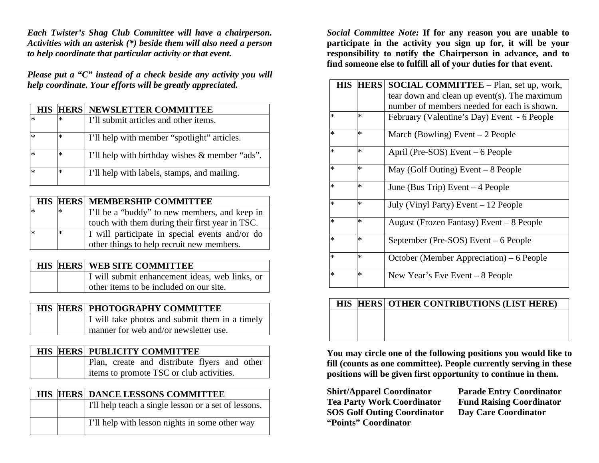*Each Twister's Shag Club Committee will have a chairperson. Activities with an asterisk (\*) beside them will also need a person to help coordinate that particular activity or that event.* 

*Please put a "C" instead of a check beside any activity you will help coordinate. Your efforts will be greatly appreciated.* 

| <b>HIS</b> |   | <b>HERS NEWSLETTER COMMITTEE</b>               |
|------------|---|------------------------------------------------|
|            | ∗ | I'll submit articles and other items.          |
|            | * | I'll help with member "spotlight" articles.    |
|            | ∗ | I'll help with birthday wishes & member "ads". |
|            | ∗ | I'll help with labels, stamps, and mailing.    |

|    | HIS HERS MEMBERSHIP COMMITTEE                   |
|----|-------------------------------------------------|
| 冰  | I'll be a "buddy" to new members, and keep in   |
|    | touch with them during their first year in TSC. |
| l* | I will participate in special events and/or do  |
|    | other things to help recruit new members.       |

|  | <b>HIS HERS WEB SITE COMMITTEE</b>             |
|--|------------------------------------------------|
|  | I will submit enhancement ideas, web links, or |
|  | other items to be included on our site.        |

|  | HIS HERS PHOTOGRAPHY COMMITTEE                 |
|--|------------------------------------------------|
|  | I will take photos and submit them in a timely |
|  | manner for web and/or newsletter use.          |

|  |  | <b>HIS HERS PUBLICITY COMMITTEE</b>          |  |  |
|--|--|----------------------------------------------|--|--|
|  |  | Plan, create and distribute flyers and other |  |  |
|  |  | items to promote TSC or club activities.     |  |  |

|  | HIS HERS DANCE LESSONS COMMITTEE                     |
|--|------------------------------------------------------|
|  | I'll help teach a single lesson or a set of lessons. |
|  | I'll help with lesson nights in some other way       |

*Social Committee Note:* **If for any reason you are unable to participate in the activity you sign up for, it will be your responsibility to notify the Chairperson in advance, and to find someone else to fulfill all of your duties for that event.** 

| <b>HIS</b> | <b>HERS</b> | <b>SOCIAL COMMITTEE</b> - Plan, set up, work, |
|------------|-------------|-----------------------------------------------|
|            |             | tear down and clean up event(s). The maximum  |
|            |             | number of members needed for each is shown.   |
| $\ast$     | *           | February (Valentine's Day) Event - 6 People   |
| *          | *           | March (Bowling) Event $-2$ People             |
| $\ast$     | $\ast$      | April (Pre-SOS) Event – 6 People              |
| $\ast$     | $\ast$      | May (Golf Outing) Event $-8$ People           |
| *          | *           | June (Bus Trip) Event $-4$ People             |
| $\ast$     | $\ast$      | July (Vinyl Party) Event – 12 People          |
| $\ast$     | $\ast$      | August (Frozen Fantasy) Event – 8 People      |
| $\ast$     | *           | September (Pre-SOS) Event – 6 People          |
| $\ast$     | $\ast$      | October (Member Appreciation) – 6 People      |
| $\ast$     | $\ast$      | New Year's Eve Event $-8$ People              |

| HIS - | <b>HERS OTHER CONTRIBUTIONS (LIST HERE)</b> |
|-------|---------------------------------------------|
|       |                                             |
|       |                                             |
|       |                                             |

**You may circle one of the following positions you would like to fill (counts as one committee). People currently serving in these positions will be given first opportunity to continue in them.** 

**Shirt/Apparel Coordinator Parade Entry Coordinator Tea Party Work Coordinator Fund Raising Coordinator SOS Golf Outing Coordinator Day Care Coordinator "Points" Coordinator**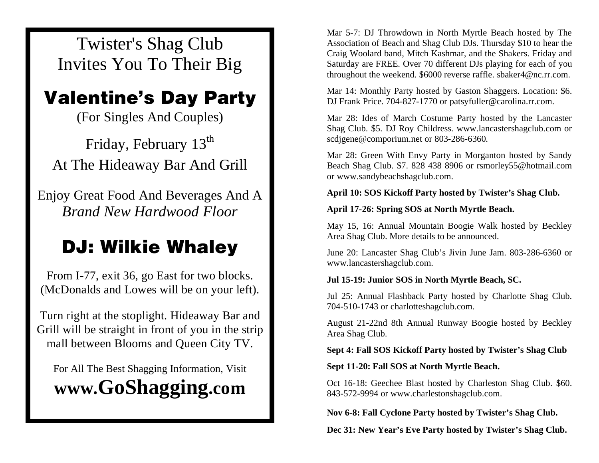Twister's Shag Club Invites You To Their Big

# **Valentine's Day Party**

(For Singles And Couples)

Friday, February  $13<sup>th</sup>$ At The Hideaway Bar And Grill

Enjoy Great Food And Beverages And A *Brand New Hardwood Floor* 

# **DJ: Wilkie Whaley**

From I-77, exit 36, go East for two blocks. (McDonalds and Lowes will be on your left).

Turn right at the stoplight. Hideaway Bar and Grill will be straight in front of you in the strip mall between Blooms and Queen City TV.

For All The Best Shagging Information, Visit **www.GoShagging.com**

Mar 5-7: DJ Throwdown in North Myrtle Beach hosted by The Association of Beach and Shag Club DJs. Thursday \$10 to hear the Craig Woolard band, Mitch Kashmar, and the Shakers. Friday and Saturday are FREE. Over 70 different DJs playing for each of you throughout the weekend. \$6000 reverse raffle. sbaker4@nc.rr.com.

Mar 14: Monthly Party hosted by Gaston Shaggers. Location: \$6. DJ Frank Price. 704-827-1770 or patsyfuller@carolina.rr.com.

Mar 28: Ides of March Costume Party hosted by the Lancaster Shag Club. \$5. DJ Roy Childress. www.lancastershagclub.com or scdjgene@comporium.net or 803-286-6360.

Mar 28: Green With Envy Party in Morganton hosted by Sandy Beach Shag Club. \$7. 828 438 8906 or rsmorley55@hotmail.com or www.sandybeachshagclub.com.

### **April 10: SOS Kickoff Party hosted by Twister's Shag Club.**

### **April 17-26: Spring SOS at North Myrtle Beach.**

May 15, 16: Annual Mountain Boogie Walk hosted by Beckley Area Shag Club. More details to be announced.

June 20: Lancaster Shag Club's Jivin June Jam. 803-286-6360 or www.lancastershagclub.com.

### **Jul 15-19: Junior SOS in North Myrtle Beach, SC.**

Jul 25: Annual Flashback Party hosted by Charlotte Shag Club. 704-510-1743 or charlotteshagclub.com.

August 21-22nd 8th Annual Runway Boogie hosted by Beckley Area Shag Club.

### **Sept 4: Fall SOS Kickoff Party hosted by Twister's Shag Club**

### **Sept 11-20: Fall SOS at North Myrtle Beach.**

Oct 16-18: Geechee Blast hosted by Charleston Shag Club. \$60. 843-572-9994 or www.charlestonshagclub.com.

**Nov 6-8: Fall Cyclone Party hosted by Twister's Shag Club.** 

**Dec 31: New Year's Eve Party hosted by Twister's Shag Club.**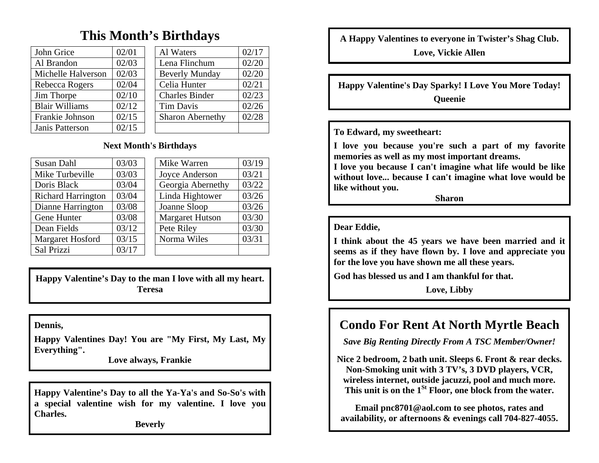# **This Month's Birthdays**

| John Grice            | 02/01 | Al Waters               | 02/17 |
|-----------------------|-------|-------------------------|-------|
| Al Brandon            | 02/03 | Lena Flinchum           | 02/20 |
| Michelle Halverson    | 02/03 | <b>Beverly Munday</b>   | 02/20 |
| Rebecca Rogers        | 02/04 | Celia Hunter            | 02/21 |
| Jim Thorpe            | 02/10 | <b>Charles Binder</b>   | 02/23 |
| <b>Blair Williams</b> | 02/12 | Tim Davis               | 02/26 |
| Frankie Johnson       | 02/15 | <b>Sharon Abernethy</b> | 02/28 |
| Janis Patterson       | 02/15 |                         |       |

# $02/17$  $\overline{02/20}$  $02/26$

#### **Next Month's Birthdays**

| Susan Dahl                | 03/03 | Mike Warren            | 03/19 |
|---------------------------|-------|------------------------|-------|
| Mike Turbeville           | 03/03 | Joyce Anderson         | 03/21 |
| Doris Black               | 03/04 | Georgia Abernethy      | 03/22 |
| <b>Richard Harrington</b> | 03/04 | Linda Hightower        | 03/26 |
| Dianne Harrington         | 03/08 | Joanne Sloop           | 03/26 |
| Gene Hunter               | 03/08 | <b>Margaret Hutson</b> | 03/30 |
| Dean Fields               | 03/12 | Pete Riley             | 03/30 |
| Margaret Hosford          | 03/15 | Norma Wiles            | 03/31 |
| Sal Prizzi                | 03/17 |                        |       |

**Happy Valentine's Day to the man I love with all my heart. Teresa** 

**Dennis,** 

**Happy Valentines Day! You are "My First, My Last, My Everything".** 

**Love always, Frankie** 

**Happy Valentine's Day to all the Ya-Ya's and So-So's with a special valentine wish for my valentine. I love you Charles.** 

**Beverly** 

**A Happy Valentines to everyone in Twister's Shag Club. Love, Vickie Allen** 

**Happy Valentine's Day Sparky! I Love You More Today! Queenie** 

#### **To Edward, my sweetheart:**

**I love you because you're such a part of my favorite memories as well as my most important dreams.** 

**I love you because I can't imagine what life would be like without love... because I can't imagine what love would be like without you.** 

**Sharon** 

**Dear Eddie,** 

**I think about the 45 years we have been married and it seems as if they have flown by. I love and appreciate you for the love you have shown me all these years.** 

**God has blessed us and I am thankful for that.** 

**Love, Libby** 

# **Condo For Rent At North Myrtle Beach**

*Save Big Renting Directly From A TSC Member/Owner!* 

**Nice 2 bedroom, 2 bath unit. Sleeps 6. Front & rear decks. Non-Smoking unit with 3 TV's, 3 DVD players, VCR, wireless internet, outside jacuzzi, pool and much more. This unit is on the 1St Floor, one block from the water.** 

**Email pnc8701@aol.com to see photos, rates and availability, or afternoons & evenings call 704-827-4055.**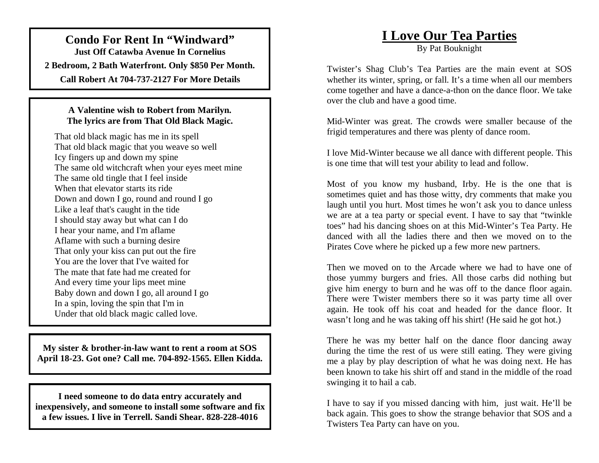# **Condo For Rent In "Windward"**

**Just Off Catawba Avenue In Cornelius 2 Bedroom, 2 Bath Waterfront. Only \$850 Per Month. Call Robert At 704-737-2127 For More Details** 

#### **A Valentine wish to Robert from Marilyn. The lyrics are from That Old Black Magic.**

That old black magic has me in its spell That old black magic that you weave so well Icy fingers up and down my spine The same old witchcraft when your eyes meet mine The same old tingle that I feel inside When that elevator starts its ride Down and down I go, round and round I go Like a leaf that's caught in the tide I should stay away but what can I do I hear your name, and I'm aflame Aflame with such a burning desire That only your kiss can put out the fire You are the lover that I've waited for The mate that fate had me created for And every time your lips meet mine Baby down and down I go, all around I go In a spin, loving the spin that I'm in Under that old black magic called love.

**My sister & brother-in-law want to rent a room at SOS April 18-23. Got one? Call me. 704-892-1565. Ellen Kidda.** 

**I need someone to do data entry accurately and inexpensively, and someone to install some software and fix a few issues. I live in Terrell. Sandi Shear. 828-228-4016** 

# **I Love Our Tea Parties**

By Pat Bouknight

Twister's Shag Club's Tea Parties are the main event at SOS whether its winter, spring, or fall. It's a time when all our members come together and have a dance-a-thon on the dance floor. We take over the club and have a good time.

Mid-Winter was great. The crowds were smaller because of the frigid temperatures and there was plenty of dance room.

I love Mid-Winter because we all dance with different people. This is one time that will test your ability to lead and follow.

Most of you know my husband, Irby. He is the one that is sometimes quiet and has those witty, dry comments that make you laugh until you hurt. Most times he won't ask you to dance unless we are at a tea party or special event. I have to say that "twinkle toes" had his dancing shoes on at this Mid-Winter's Tea Party. He danced with all the ladies there and then we moved on to the Pirates Cove where he picked up a few more new partners.

Then we moved on to the Arcade where we had to have one of those yummy burgers and fries. All those carbs did nothing but give him energy to burn and he was off to the dance floor again. There were Twister members there so it was party time all over again. He took off his coat and headed for the dance floor. It wasn't long and he was taking off his shirt! (He said he got hot.)

There he was my better half on the dance floor dancing away during the time the rest of us were still eating. They were giving me a play by play description of what he was doing next. He has been known to take his shirt off and stand in the middle of the road swinging it to hail a cab.

I have to say if you missed dancing with him, just wait. He'll be back again. This goes to show the strange behavior that SOS and a Twisters Tea Party can have on you.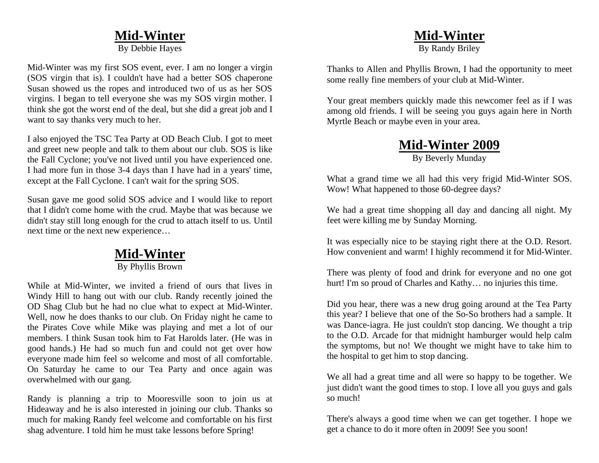# **Mid-Winter**

By Debbie Hayes

Mid-Winter was my first SOS event, ever. I am no longer a virgin (SOS virgin that is). I couldn't have had a better SOS chaperone Susan showed us the ropes and introduced two of us as her SOS virgins. I began to tell everyone she was my SOS virgin mother. I think she got the worst end of the deal, but she did a great job and I want to say thanks very much to her.

I also enjoyed the TSC Tea Party at OD Beach Club. I got to meet and greet new people and talk to them about our club. SOS is like the Fall Cyclone; you've not lived until you have experienced one. I had more fun in those 3-4 days than I have had in a years' time, except at the Fall Cyclone. I can't wait for the spring SOS.

Susan gave me good solid SOS advice and I would like to report that I didn't come home with the crud. Maybe that was because we didn't stay still long enough for the crud to attach itself to us. Until next time or the next new experience…

# **Mid-Winter**

By Phyllis Brown

While at Mid-Winter, we invited a friend of ours that lives in Windy Hill to hang out with our club. Randy recently joined the OD Shag Club but he had no clue what to expect at Mid-Winter. Well, now he does thanks to our club. On Friday night he came to the Pirates Cove while Mike was playing and met a lot of our members. I think Susan took him to Fat Harolds later. (He was in good hands.) He had so much fun and could not get over how everyone made him feel so welcome and most of all comfortable. On Saturday he came to our Tea Party and once again was overwhelmed with our gang.

Randy is planning a trip to Mooresville soon to join us at Hideaway and he is also interested in joining our club. Thanks so much for making Randy feel welcome and comfortable on his first shag adventure. I told him he must take lessons before Spring!

# **Mid-Winter**

By Randy Briley

Thanks to Allen and Phyllis Brown, I had the opportunity to meet some really fine members of your club at Mid-Winter.

Your great members quickly made this newcomer feel as if I was among old friends. I will be seeing you guys again here in North Myrtle Beach or maybe even in your area.

# **Mid-Winter 2009**

By Beverly Munday

What a grand time we all had this very frigid Mid-Winter SOS. Wow! What happened to those 60-degree days?

We had a great time shopping all day and dancing all night. My feet were killing me by Sunday Morning.

It was especially nice to be staying right there at the O.D. Resort. How convenient and warm! I highly recommend it for Mid-Winter.

There was plenty of food and drink for everyone and no one got hurt! I'm so proud of Charles and Kathy... no injuries this time.

Did you hear, there was a new drug going around at the Tea Party this year? I believe that one of the So-So brothers had a sample. It was Dance-iagra. He just couldn't stop dancing. We thought a trip to the O.D. Arcade for that midnight hamburger would help calm the symptoms, but no! We thought we might have to take him to the hospital to get him to stop dancing.

We all had a great time and all were so happy to be together. We just didn't want the good times to stop. I love all you guys and gals so much!

There's always a good time when we can get together. I hope we get a chance to do it more often in 2009! See you soon!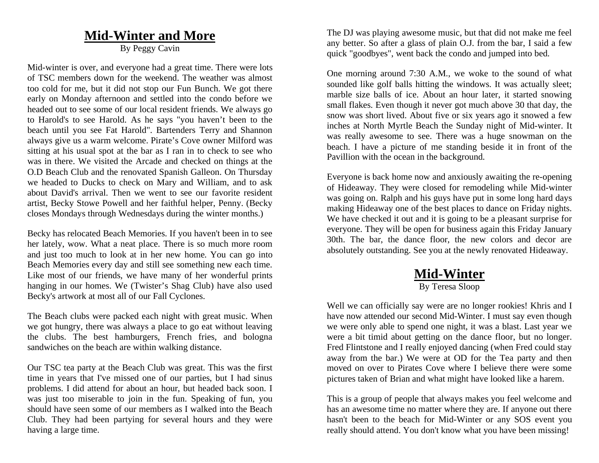### **Mid-Winter and More**

By Peggy Cavin

Mid-winter is over, and everyone had a great time. There were lots of TSC members down for the weekend. The weather was almost too cold for me, but it did not stop our Fun Bunch. We got there early on Monday afternoon and settled into the condo before we headed out to see some of our local resident friends. We always go to Harold's to see Harold. As he says "you haven't been to the beach until you see Fat Harold". Bartenders Terry and Shannon always give us a warm welcome. Pirate's Cove owner Milford was sitting at his usual spot at the bar as I ran in to check to see who was in there. We visited the Arcade and checked on things at the O.D Beach Club and the renovated Spanish Galleon. On Thursday we headed to Ducks to check on Mary and William, and to ask about David's arrival. Then we went to see our favorite resident artist, Becky Stowe Powell and her faithful helper, Penny. (Becky closes Mondays through Wednesdays during the winter months.)

Becky has relocated Beach Memories. If you haven't been in to see her lately, wow. What a neat place. There is so much more room and just too much to look at in her new home. You can go into Beach Memories every day and still see something new each time. Like most of our friends, we have many of her wonderful prints hanging in our homes. We (Twister's Shag Club) have also used Becky's artwork at most all of our Fall Cyclones.

The Beach clubs were packed each night with great music. When we got hungry, there was always a place to go eat without leaving the clubs. The best hamburgers, French fries, and bologna sandwiches on the beach are within walking distance.

Our TSC tea party at the Beach Club was great. This was the first time in years that I've missed one of our parties, but I had sinus problems. I did attend for about an hour, but headed back soon. I was just too miserable to join in the fun. Speaking of fun, you should have seen some of our members as I walked into the Beach Club. They had been partying for several hours and they were having a large time.

The DJ was playing awesome music, but that did not make me feel any better. So after a glass of plain O.J. from the bar, I said a few quick "goodbyes", went back the condo and jumped into bed.

One morning around 7:30 A.M., we woke to the sound of what sounded like golf balls hitting the windows. It was actually sleet; marble size balls of ice. About an hour later, it started snowing small flakes. Even though it never got much above 30 that day, the snow was short lived. About five or six years ago it snowed a few inches at North Myrtle Beach the Sunday night of Mid-winter. It was really awesome to see. There was a huge snowman on the beach. I have a picture of me standing beside it in front of the Pavillion with the ocean in the background.

Everyone is back home now and anxiously awaiting the re-opening of Hideaway. They were closed for remodeling while Mid-winter was going on. Ralph and his guys have put in some long hard days making Hideaway one of the best places to dance on Friday nights. We have checked it out and it is going to be a pleasant surprise for everyone. They will be open for business again this Friday January 30th. The bar, the dance floor, the new colors and decor are absolutely outstanding. See you at the newly renovated Hideaway.

### **Mid-Winter** By Teresa Sloop

Well we can officially say were are no longer rookies! Khris and I have now attended our second Mid-Winter. I must say even though we were only able to spend one night, it was a blast. Last year we were a bit timid about getting on the dance floor, but no longer. Fred Flintstone and I really enjoyed dancing (when Fred could stay away from the bar.) We were at OD for the Tea party and then moved on over to Pirates Cove where I believe there were some pictures taken of Brian and what might have looked like a harem.

This is a group of people that always makes you feel welcome and has an awesome time no matter where they are. If anyone out there hasn't been to the beach for Mid-Winter or any SOS event you really should attend. You don't know what you have been missing!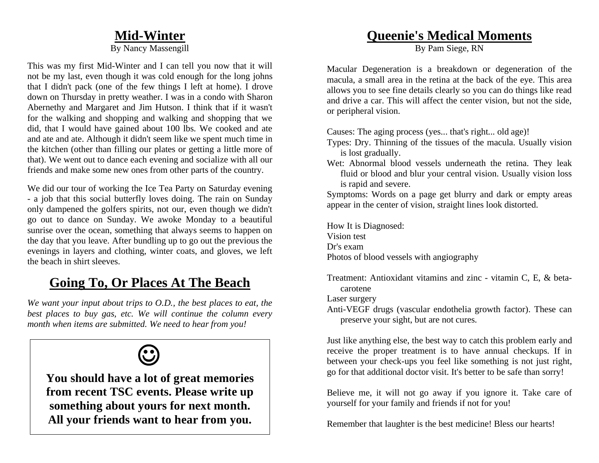### **Mid-Winter**

By Nancy Massengill

This was my first Mid-Winter and I can tell you now that it will not be my last, even though it was cold enough for the long johns that I didn't pack (one of the few things I left at home). I drove down on Thursday in pretty weather. I was in a condo with Sharon Abernethy and Margaret and Jim Hutson. I think that if it wasn't for the walking and shopping and walking and shopping that we did, that I would have gained about 100 lbs. We cooked and ate and ate and ate. Although it didn't seem like we spent much time in the kitchen (other than filling our plates or getting a little more of that). We went out to dance each evening and socialize with all our friends and make some new ones from other parts of the country.

We did our tour of working the Ice Tea Party on Saturday evening - a job that this social butterfly loves doing. The rain on Sunday only dampened the golfers spirits, not our, even though we didn't go out to dance on Sunday. We awoke Monday to a beautiful sunrise over the ocean, something that always seems to happen on the day that you leave. After bundling up to go out the previous the evenings in layers and clothing, winter coats, and gloves, we left the beach in shirt sleeves.

# **Going To, Or Places At The Beach**

*We want your input about trips to O.D., the best places to eat, the best places to buy gas, etc. We will continue the column every month when items are submitted. We need to hear from you!* 



**You should have a lot of great memories from recent TSC events. Please write up something about yours for next month. All your friends want to hear from you.** 

## **Queenie's Medical Moments**

By Pam Siege, RN

Macular Degeneration is a breakdown or degeneration of the macula, a small area in the retina at the back of the eye. This area allows you to see fine details clearly so you can do things like read and drive a car. This will affect the center vision, but not the side, or peripheral vision.

Causes: The aging process (yes... that's right... old age)!

- Types: Dry. Thinning of the tissues of the macula. Usually vision is lost gradually.
- Wet: Abnormal blood vessels underneath the retina. They leak fluid or blood and blur your central vision. Usually vision loss is rapid and severe.

Symptoms: Words on a page get blurry and dark or empty areas appear in the center of vision, straight lines look distorted.

How It is Diagnosed: Vision test Dr's exam Photos of blood vessels with angiography

Treatment: Antioxidant vitamins and zinc - vitamin C, E, & betacarotene

Laser surgery

Anti-VEGF drugs (vascular endothelia growth factor). These can preserve your sight, but are not cures.

Just like anything else, the best way to catch this problem early and receive the proper treatment is to have annual checkups. If in between your check-ups you feel like something is not just right, go for that additional doctor visit. It's better to be safe than sorry!

Believe me, it will not go away if you ignore it. Take care of yourself for your family and friends if not for you!

Remember that laughter is the best medicine! Bless our hearts!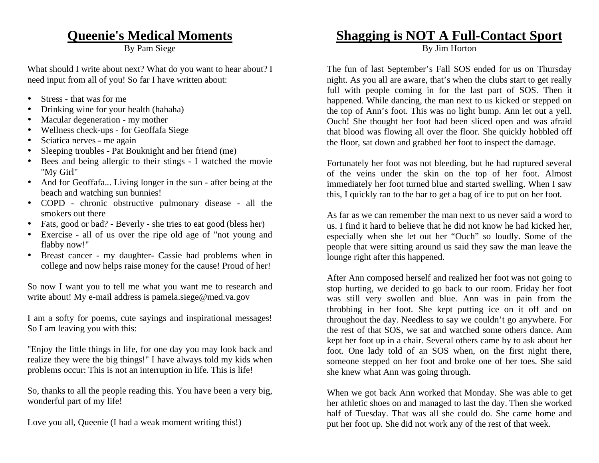## **Queenie's Medical Moments**

By Pam Siege

What should I write about next? What do you want to hear about? I need input from all of you! So far I have written about:

- •Stress - that was for me
- •Drinking wine for your health (hahaha)
- $\bullet$ Macular degeneration - my mother
- Wellness check-ups for Geoffafa Siege
- •Sciatica nerves - me again
- •Sleeping troubles - Pat Bouknight and her friend (me)
- • Bees and being allergic to their stings - I watched the movie "My Girl"
- And for Geoffafa... Living longer in the sun after being at the beach and watching sun bunnies!
- COPD chronic obstructive pulmonary disease all the smokers out there
- Fats, good or bad? Beverly she tries to eat good (bless her)
- Exercise all of us over the ripe old age of "not young and flabby now!"
- Breast cancer my daughter- Cassie had problems when in college and now helps raise money for the cause! Proud of her!

So now I want you to tell me what you want me to research and write about! My e-mail address is pamela.siege@med.va.gov

I am a softy for poems, cute sayings and inspirational messages! So I am leaving you with this:

"Enjoy the little things in life, for one day you may look back and realize they were the big things!" I have always told my kids when problems occur: This is not an interruption in life. This is life!

So, thanks to all the people reading this. You have been a very big, wonderful part of my life!

Love you all, Queenie (I had a weak moment writing this!)

# **Shagging is NOT A Full-Contact Sport**

By Jim Horton

The fun of last September's Fall SOS ended for us on Thursday night. As you all are aware, that's when the clubs start to get really full with people coming in for the last part of SOS. Then it happened. While dancing, the man next to us kicked or stepped on the top of Ann's foot. This was no light bump. Ann let out a yell. Ouch! She thought her foot had been sliced open and was afraid that blood was flowing all over the floor. She quickly hobbled off the floor, sat down and grabbed her foot to inspect the damage.

Fortunately her foot was not bleeding, but he had ruptured several of the veins under the skin on the top of her foot. Almost immediately her foot turned blue and started swelling. When I saw this, I quickly ran to the bar to get a bag of ice to put on her foot.

As far as we can remember the man next to us never said a word to us. I find it hard to believe that he did not know he had kicked her, especially when she let out her "Ouch" so loudly. Some of the people that were sitting around us said they saw the man leave the lounge right after this happened.

After Ann composed herself and realized her foot was not going to stop hurting, we decided to go back to our room. Friday her foot was still very swollen and blue. Ann was in pain from the throbbing in her foot. She kept putting ice on it off and on throughout the day. Needless to say we couldn't go anywhere. For the rest of that SOS, we sat and watched some others dance. Ann kept her foot up in a chair. Several others came by to ask about her foot. One lady told of an SOS when, on the first night there, someone stepped on her foot and broke one of her toes. She said she knew what Ann was going through.

When we got back Ann worked that Monday. She was able to get her athletic shoes on and managed to last the day. Then she worked half of Tuesday. That was all she could do. She came home and put her foot up. She did not work any of the rest of that week.